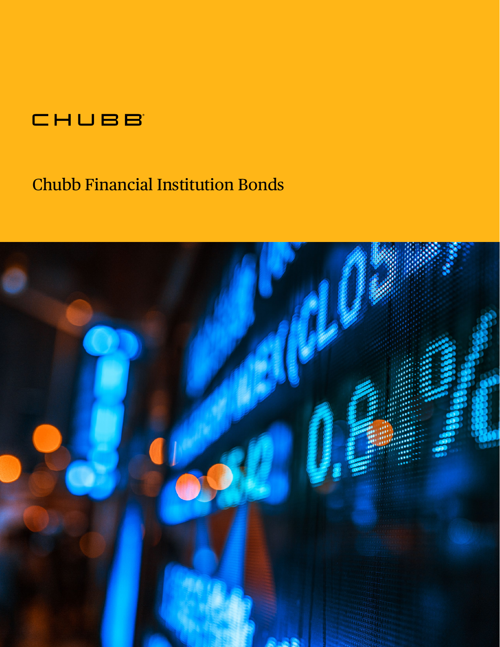### CHUBB

### Chubb Financial Institution Bonds

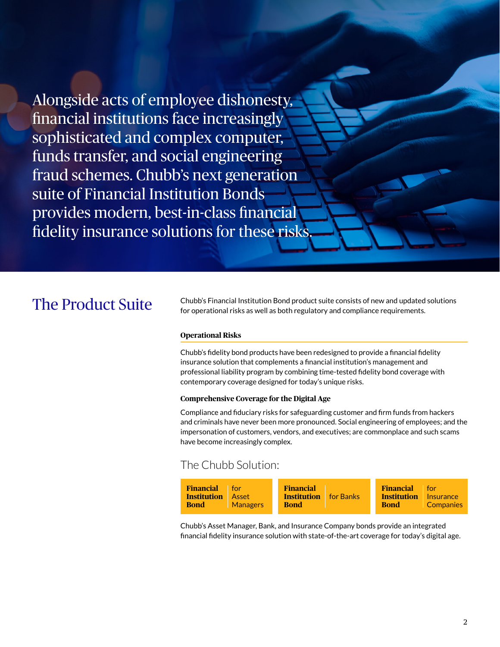Alongside acts of employee dishonesty, financial institutions face increasingly sophisticated and complex computer, funds transfer, and social engineering fraud schemes. Chubb's next generation suite of Financial Institution Bonds provides modern, best-in-class financial fidelity insurance solutions for these risks.

The Product Suite Chubb's Financial Institution Bond product suite consists of new and updated solutions for operational risks as well as both regulatory and compliance requirements.

#### **Operational Risks**

Chubb's fidelity bond products have been redesigned to provide a financial fidelity insurance solution that complements a financial institution's management and professional liability program by combining time-tested fidelity bond coverage with contemporary coverage designed for today's unique risks.

#### **Comprehensive Coverage for the Digital Age**

Compliance and fiduciary risks for safeguarding customer and firm funds from hackers and criminals have never been more pronounced. Social engineering of employees; and the impersonation of customers, vendors, and executives; are commonplace and such scams have become increasingly complex.

### The Chubb Solution:



Chubb's Asset Manager, Bank, and Insurance Company bonds provide an integrated financial fidelity insurance solution with state-of-the-art coverage for today's digital age.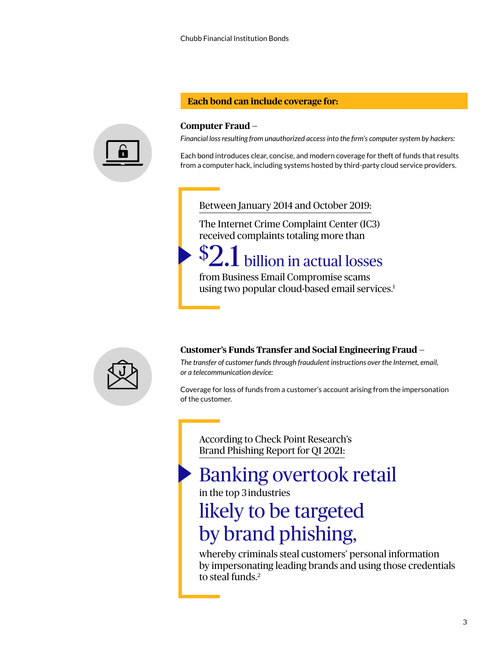#### **Each bond can include coverage for:**



#### **Computer Fraud —**

*Financial loss resulting from unauthorized access into the firm's computer system by hackers:*

Each bond introduces clear, concise, and modern coverage for theft of funds that results from a computer hack, including systems hosted by third-party cloud service providers.

#### Between January 2014 and October 2019:

The Internet Crime Complaint Center (IC3) received complaints totaling more than

# \$2.1 billion in actual losses

from Business Email Compromise scams using two popular cloud-based email services.<sup>1</sup>



#### **Customer's Funds Transfer and Social Engineering Fraud —**

*The transfer of customer funds through fraudulent instructions over the Internet, email, or a telecommunication device:*

Coverage for loss of funds from a customer's account arising from the impersonation of the customer.

According to Check Point Research's Brand Phishing Report for Q1 2021:

### Banking overtook retail

in the top 3 industries

# likely to be targeted by brand phishing,

whereby criminals steal customers' personal information by impersonating leading brands and using those credentials to steal funds.<sup>2</sup>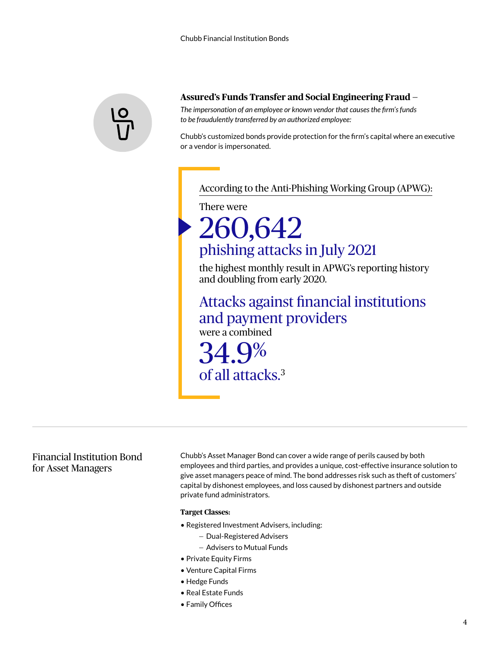

#### **Assured's Funds Transfer and Social Engineering Fraud —**

*The impersonation of an employee or known vendor that causes the firm's funds to be fraudulently transferred by an authorized employee:* 

Chubb's customized bonds provide protection for the firm's capital where an executive or a vendor is impersonated.

#### According to the Anti-Phishing Working Group (APWG):

There were

# 260,642 phishing attacks in July 2021

the highest monthly result in APWG's reporting history and doubling from early 2020.

### Attacks against financial institutions and payment providers

were a combined

34.9% of all attacks.3

#### Financial Institution Bond for Asset Managers

Chubb's Asset Manager Bond can cover a wide range of perils caused by both employees and third parties, and provides a unique, cost-effective insurance solution to give asset managers peace of mind. The bond addresses risk such as theft of customers' capital by dishonest employees, and loss caused by dishonest partners and outside private fund administrators.

#### **Target Classes:**

- Registered Investment Advisers, including:
	- Dual-Registered Advisers
	- Advisers to Mutual Funds
- Private Equity Firms
- Venture Capital Firms
- Hedge Funds
- Real Estate Funds
- Family Offices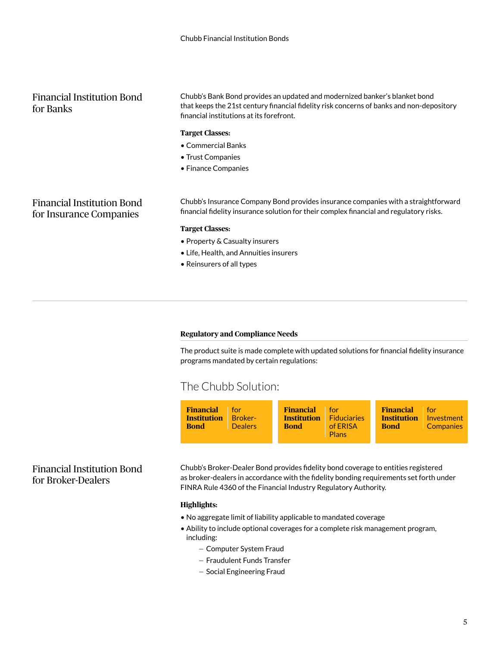#### Financial Institution Bond for Banks

Chubb's Bank Bond provides an updated and modernized banker's blanket bond that keeps the 21st century financial fidelity risk concerns of banks and non-depository financial institutions at its forefront.

#### **Target Classes:**

- Commercial Banks
- Trust Companies
- Finance Companies

#### Financial Institution Bond for Insurance Companies

Chubb's Insurance Company Bond provides insurance companies with a straightforward financial fidelity insurance solution for their complex financial and regulatory risks.

#### **Target Classes:**

- Property & Casualty insurers
- Life, Health, and Annuities insurers
- Reinsurers of all types

#### **Regulatory and Compliance Needs**

The product suite is made complete with updated solutions for financial fidelity insurance programs mandated by certain regulations:

### The Chubb Solution:

| <b>Financial</b> for<br><b>Institution</b><br><b>Broker-</b><br><b>Bond</b><br><b>Dealers</b> | <b>Financial</b><br>for<br><b>Eiduciaries</b><br><b>Institution</b><br><b>Bond</b><br>of ERISA<br><b>Plans</b> | <b>Financial</b><br><b>T</b> for<br><b>Institution</b><br>Investment<br><b>Bond</b><br><b>Companies</b> |
|-----------------------------------------------------------------------------------------------|----------------------------------------------------------------------------------------------------------------|---------------------------------------------------------------------------------------------------------|
|-----------------------------------------------------------------------------------------------|----------------------------------------------------------------------------------------------------------------|---------------------------------------------------------------------------------------------------------|

#### Financial Institution Bond for Broker-Dealers

Chubb's Broker-Dealer Bond provides fidelity bond coverage to entities registered as broker-dealers in accordance with the fidelity bonding requirements set forth under FINRA Rule 4360 of the Financial Industry Regulatory Authority.

#### **Highlights:**

- No aggregate limit of liability applicable to mandated coverage
- Ability to include optional coverages for a complete risk management program, including:
	- Computer System Fraud
	- Fraudulent Funds Transfer
	- Social Engineering Fraud